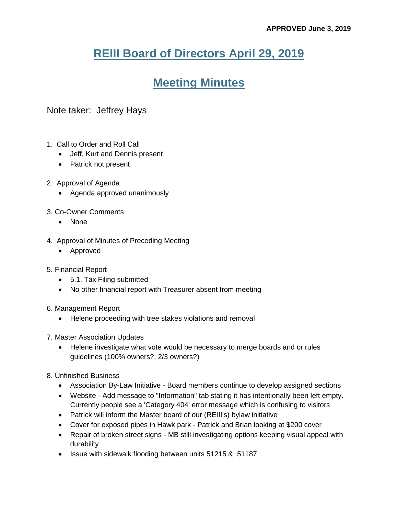## **REIII Board of Directors April 29, 2019**

## **Meeting Minutes**

## Note taker: Jeffrey Hays

- 1. Call to Order and Roll Call
	- Jeff, Kurt and Dennis present
	- Patrick not present
- 2. Approval of Agenda
	- Agenda approved unanimously
- 3. Co-Owner Comments
	- None
- 4. Approval of Minutes of Preceding Meeting
	- Approved
- 5. Financial Report
	- 5.1. Tax Filing submitted
	- No other financial report with Treasurer absent from meeting
- 6. Management Report
	- Helene proceeding with tree stakes violations and removal
- 7. Master Association Updates
	- Helene investigate what vote would be necessary to merge boards and or rules guidelines (100% owners?, 2/3 owners?)
- 8. Unfinished Business
	- Association By-Law Initiative Board members continue to develop assigned sections
	- Website Add message to "Information" tab stating it has intentionally been left empty. Currently people see a 'Category 404' error message which is confusing to visitors
	- Patrick will inform the Master board of our (REIII's) bylaw initiative
	- Cover for exposed pipes in Hawk park Patrick and Brian looking at \$200 cover
	- Repair of broken street signs MB still investigating options keeping visual appeal with durability
	- Issue with sidewalk flooding between units 51215 & 51187